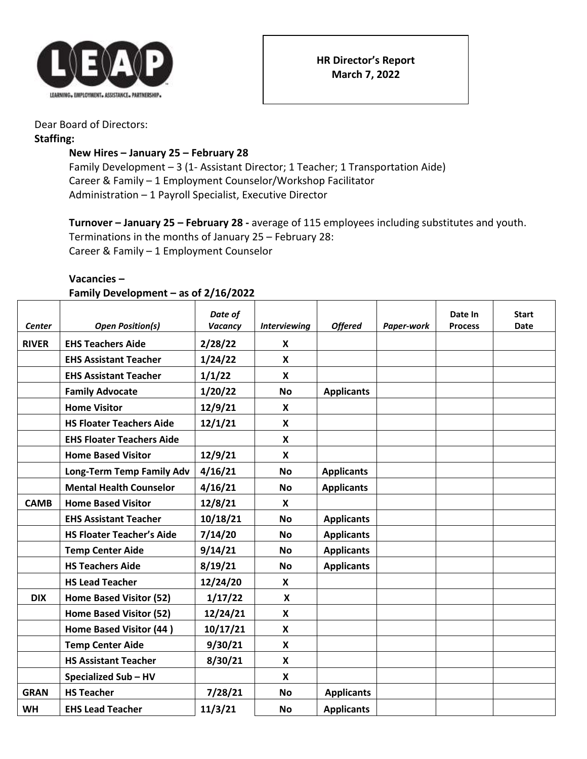

## Dear Board of Directors:

#### **Staffing:**

# **New Hires – January 25 – February 28**

Family Development - 3 (1- Assistant Director; 1 Teacher; 1 Transportation Aide) Career & Family – 1 Employment Counselor/Workshop Facilitator Administration – 1 Payroll Specialist, Executive Director

**Turnover – January 25 – February 28 -** average of 115 employees including substitutes and youth. Terminations in the months of January 25 – February 28: Career & Family – 1 Employment Counselor

#### **Vacancies –**

### **Family Development – as of 2/16/2022**

|               |                                  | Date of  |                     |                   |            | Date In        | Start |
|---------------|----------------------------------|----------|---------------------|-------------------|------------|----------------|-------|
| <b>Center</b> | <b>Open Position(s)</b>          | Vacancy  | <b>Interviewing</b> | <b>Offered</b>    | Paper-work | <b>Process</b> | Date  |
| <b>RIVER</b>  | <b>EHS Teachers Aide</b>         | 2/28/22  | X                   |                   |            |                |       |
|               | <b>EHS Assistant Teacher</b>     | 1/24/22  | X                   |                   |            |                |       |
|               | <b>EHS Assistant Teacher</b>     | 1/1/22   | $\mathsf{x}$        |                   |            |                |       |
|               | <b>Family Advocate</b>           | 1/20/22  | <b>No</b>           | <b>Applicants</b> |            |                |       |
|               | <b>Home Visitor</b>              | 12/9/21  | X                   |                   |            |                |       |
|               | <b>HS Floater Teachers Aide</b>  | 12/1/21  | X                   |                   |            |                |       |
|               | <b>EHS Floater Teachers Aide</b> |          | $\mathbf{x}$        |                   |            |                |       |
|               | <b>Home Based Visitor</b>        | 12/9/21  | $\mathbf{x}$        |                   |            |                |       |
|               | Long-Term Temp Family Adv        | 4/16/21  | <b>No</b>           | <b>Applicants</b> |            |                |       |
|               | <b>Mental Health Counselor</b>   | 4/16/21  | <b>No</b>           | <b>Applicants</b> |            |                |       |
| <b>CAMB</b>   | <b>Home Based Visitor</b>        | 12/8/21  | X                   |                   |            |                |       |
|               | <b>EHS Assistant Teacher</b>     | 10/18/21 | <b>No</b>           | <b>Applicants</b> |            |                |       |
|               | <b>HS Floater Teacher's Aide</b> | 7/14/20  | <b>No</b>           | <b>Applicants</b> |            |                |       |
|               | <b>Temp Center Aide</b>          | 9/14/21  | <b>No</b>           | <b>Applicants</b> |            |                |       |
|               | <b>HS Teachers Aide</b>          | 8/19/21  | <b>No</b>           | <b>Applicants</b> |            |                |       |
|               | <b>HS Lead Teacher</b>           | 12/24/20 | X                   |                   |            |                |       |
| <b>DIX</b>    | Home Based Visitor (52)          | 1/17/22  | $\mathsf{x}$        |                   |            |                |       |
|               | Home Based Visitor (52)          | 12/24/21 | X                   |                   |            |                |       |
|               | Home Based Visitor (44)          | 10/17/21 | $\mathsf{x}$        |                   |            |                |       |
|               | <b>Temp Center Aide</b>          | 9/30/21  | $\mathsf{x}$        |                   |            |                |       |
|               | <b>HS Assistant Teacher</b>      | 8/30/21  | X                   |                   |            |                |       |
|               | <b>Specialized Sub-HV</b>        |          | X                   |                   |            |                |       |
| <b>GRAN</b>   | <b>HS Teacher</b>                | 7/28/21  | <b>No</b>           | <b>Applicants</b> |            |                |       |
| <b>WH</b>     | <b>EHS Lead Teacher</b>          | 11/3/21  | <b>No</b>           | <b>Applicants</b> |            |                |       |